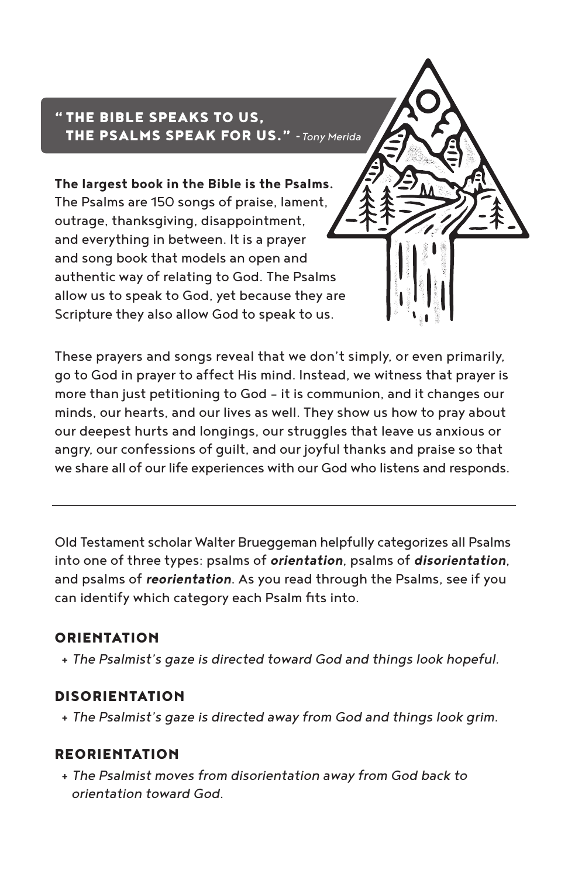# " THE BIBLE SPEAKS TO US, THE PSALMS SPEAK FOR US." -*Tony Merida*

**The largest book in the Bible is the Psalms.** The Psalms are 150 songs of praise, lament, outrage, thanksgiving, disappointment, and everything in between. It is a prayer and song book that models an open and authentic way of relating to God. The Psalms allow us to speak to God, yet because they are Scripture they also allow God to speak to us.

These prayers and songs reveal that we don't simply, or even primarily, go to God in prayer to affect His mind. Instead, we witness that prayer is more than just petitioning to God - it is communion, and it changes our minds, our hearts, and our lives as well. They show us how to pray about our deepest hurts and longings, our struggles that leave us anxious or angry, our confessions of guilt, and our joyful thanks and praise so that we share all of our life experiences with our God who listens and responds.

Old Testament scholar Walter Brueggeman helpfully categorizes all Psalms into one of three types: psalms of *orientation*, psalms of *disorientation*, and psalms of *reorientation*. As you read through the Psalms, see if you can identify which category each Psalm fits into.

## ORIENTATION

+ *The Psalmist's gaze is directed toward God and things look hopeful.*

## DISORIENTATION

+ *The Psalmist's gaze is directed away from God and things look grim.*

## REORIENTATION

 + *The Psalmist moves from disorientation away from God back to orientation toward God.*